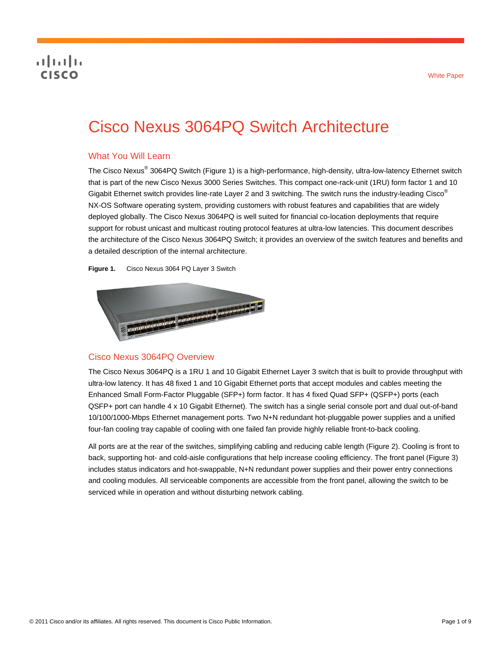# **CISCO**

# Cisco Nexus 3064PQ Switch Architecture

# What You Will Learn

The Cisco Nexus<sup>®</sup> 3064PQ Switch (Figure 1) is a high-performance, high-density, ultra-low-latency Ethernet switch that is part of the new Cisco Nexus 3000 Series Switches. This compact one-rack-unit (1RU) form factor 1 and 10 Gigabit Ethernet switch provides line-rate Layer 2 and 3 switching. The switch runs the industry-leading Cisco® NX-OS Software operating system, providing customers with robust features and capabilities that are widely deployed globally. The Cisco Nexus 3064PQ is well suited for financial co-location deployments that require support for robust unicast and multicast routing protocol features at ultra-low latencies. This document describes the architecture of the Cisco Nexus 3064PQ Switch; it provides an overview of the switch features and benefits and a detailed description of the internal architecture.

**Figure 1.** Cisco Nexus 3064 PQ Layer 3 Switch



#### Cisco Nexus 3064PQ Overview

The Cisco Nexus 3064PQ is a 1RU 1 and 10 Gigabit Ethernet Layer 3 switch that is built to provide throughput with ultra-low latency. It has 48 fixed 1 and 10 Gigabit Ethernet ports that accept modules and cables meeting the Enhanced Small Form-Factor Pluggable (SFP+) form factor. It has 4 fixed Quad SFP+ (QSFP+) ports (each QSFP+ port can handle 4 x 10 Gigabit Ethernet). The switch has a single serial console port and dual out-of-band 10/100/1000-Mbps Ethernet management ports. Two N+N redundant hot-pluggable power supplies and a unified four-fan cooling tray capable of cooling with one failed fan provide highly reliable front-to-back cooling.

All ports are at the rear of the switches, simplifying cabling and reducing cable length (Figure 2). Cooling is front to back, supporting hot- and cold-aisle configurations that help increase cooling efficiency. The front panel (Figure 3) includes status indicators and hot-swappable, N+N redundant power supplies and their power entry connections and cooling modules. All serviceable components are accessible from the front panel, allowing the switch to be serviced while in operation and without disturbing network cabling.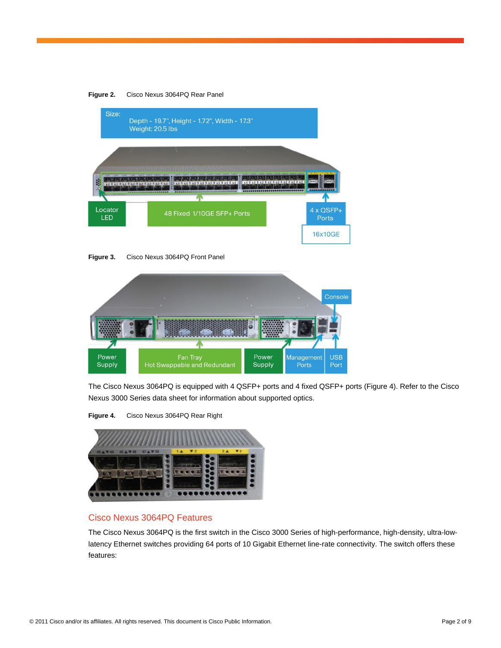

**Figure 3.** Cisco Nexus 3064PQ Front Panel



The Cisco Nexus 3064PQ is equipped with 4 QSFP+ ports and 4 fixed QSFP+ ports (Figure 4). Refer to the Cisco Nexus 3000 Series data sheet for information about supported optics.





#### Cisco Nexus 3064PQ Features

The Cisco Nexus 3064PQ is the first switch in the Cisco 3000 Series of high-performance, high-density, ultra-lowlatency Ethernet switches providing 64 ports of 10 Gigabit Ethernet line-rate connectivity. The switch offers these features: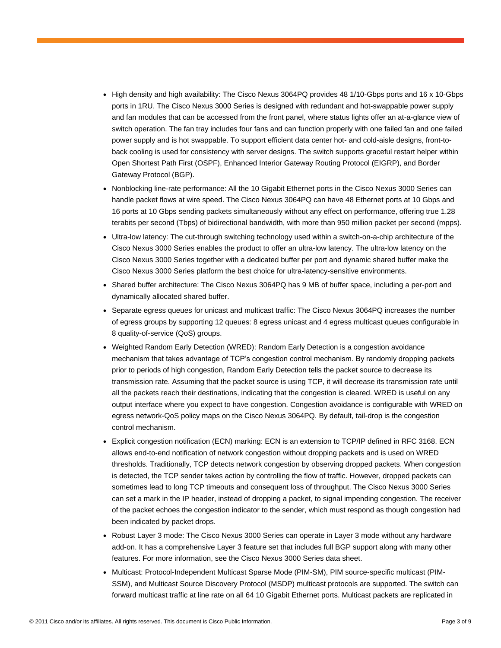- High density and high availability: The Cisco Nexus 3064PQ provides 48 1/10-Gbps ports and 16 x 10-Gbps ports in 1RU. The Cisco Nexus 3000 Series is designed with redundant and hot-swappable power supply and fan modules that can be accessed from the front panel, where status lights offer an at-a-glance view of switch operation. The fan tray includes four fans and can function properly with one failed fan and one failed power supply and is hot swappable. To support efficient data center hot- and cold-aisle designs, front-toback cooling is used for consistency with server designs. The switch supports graceful restart helper within Open Shortest Path First (OSPF), Enhanced Interior Gateway Routing Protocol (EIGRP), and Border Gateway Protocol (BGP).
- Nonblocking line-rate performance: All the 10 Gigabit Ethernet ports in the Cisco Nexus 3000 Series can handle packet flows at wire speed. The Cisco Nexus 3064PQ can have 48 Ethernet ports at 10 Gbps and 16 ports at 10 Gbps sending packets simultaneously without any effect on performance, offering true 1.28 terabits per second (Tbps) of bidirectional bandwidth, with more than 950 million packet per second (mpps).
- Ultra-low latency: The cut-through switching technology used within a switch-on-a-chip architecture of the Cisco Nexus 3000 Series enables the product to offer an ultra-low latency. The ultra-low latency on the Cisco Nexus 3000 Series together with a dedicated buffer per port and dynamic shared buffer make the Cisco Nexus 3000 Series platform the best choice for ultra-latency-sensitive environments.
- Shared buffer architecture: The Cisco Nexus 3064PQ has 9 MB of buffer space, including a per-port and dynamically allocated shared buffer.
- Separate egress queues for unicast and multicast traffic: The Cisco Nexus 3064PQ increases the number of egress groups by supporting 12 queues: 8 egress unicast and 4 egress multicast queues configurable in 8 quality-of-service (QoS) groups.
- Weighted Random Early Detection (WRED): Random Early Detection is a congestion avoidance mechanism that takes advantage of TCP's congestion control mechanism. By randomly dropping packets prior to periods of high congestion, Random Early Detection tells the packet source to decrease its transmission rate. Assuming that the packet source is using TCP, it will decrease its transmission rate until all the packets reach their destinations, indicating that the congestion is cleared. WRED is useful on any output interface where you expect to have congestion. Congestion avoidance is configurable with WRED on egress network-QoS policy maps on the Cisco Nexus 3064PQ. By default, tail-drop is the congestion control mechanism.
- Explicit congestion notification (ECN) marking: ECN is an extension to TCP/IP defined in RFC 3168. ECN allows end-to-end notification of network congestion without dropping packets and is used on WRED thresholds. Traditionally, TCP detects network congestion by observing dropped packets. When congestion is detected, the TCP sender takes action by controlling the flow of traffic. However, dropped packets can sometimes lead to long TCP timeouts and consequent loss of throughput. The Cisco Nexus 3000 Series can set a mark in the IP header, instead of dropping a packet, to signal impending congestion. The receiver of the packet echoes the congestion indicator to the sender, which must respond as though congestion had been indicated by packet drops.
- Robust Layer 3 mode: The Cisco Nexus 3000 Series can operate in Layer 3 mode without any hardware add-on. It has a comprehensive Layer 3 feature set that includes full BGP support along with many other features. For more information, see the Cisco Nexus 3000 Series data sheet.
- Multicast: Protocol-Independent Multicast Sparse Mode (PIM-SM), PIM source-specific multicast (PIM-SSM), and Multicast Source Discovery Protocol (MSDP) multicast protocols are supported. The switch can forward multicast traffic at line rate on all 64 10 Gigabit Ethernet ports. Multicast packets are replicated in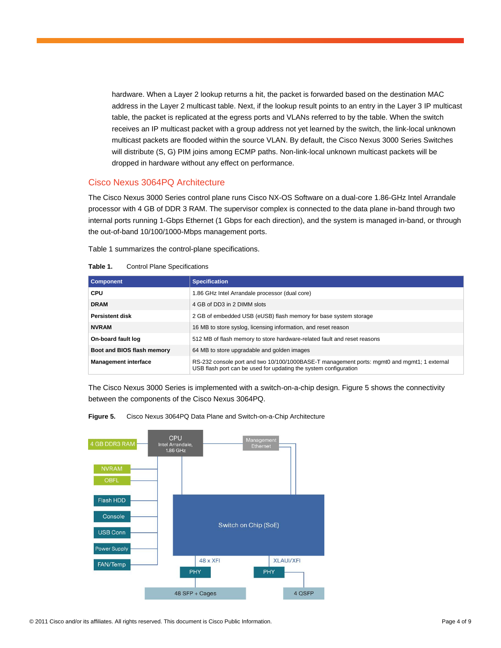hardware. When a Layer 2 lookup returns a hit, the packet is forwarded based on the destination MAC address in the Layer 2 multicast table. Next, if the lookup result points to an entry in the Layer 3 IP multicast table, the packet is replicated at the egress ports and VLANs referred to by the table. When the switch receives an IP multicast packet with a group address not yet learned by the switch, the link-local unknown multicast packets are flooded within the source VLAN. By default, the Cisco Nexus 3000 Series Switches will distribute (S, G) PIM joins among ECMP paths. Non-link-local unknown multicast packets will be dropped in hardware without any effect on performance.

#### Cisco Nexus 3064PQ Architecture

The Cisco Nexus 3000 Series control plane runs Cisco NX-OS Software on a dual-core 1.86-GHz Intel Arrandale processor with 4 GB of DDR 3 RAM. The supervisor complex is connected to the data plane in-band through two internal ports running 1-Gbps Ethernet (1 Gbps for each direction), and the system is managed in-band, or through the out-of-band 10/100/1000-Mbps management ports.

Table 1 summarizes the control-plane specifications.

| <b>Component</b>            | <b>Specification</b>                                                                                                                                            |  |
|-----------------------------|-----------------------------------------------------------------------------------------------------------------------------------------------------------------|--|
| <b>CPU</b>                  | 1.86 GHz Intel Arrandale processor (dual core)                                                                                                                  |  |
| <b>DRAM</b>                 | 4 GB of DD3 in 2 DIMM slots                                                                                                                                     |  |
| <b>Persistent disk</b>      | 2 GB of embedded USB (eUSB) flash memory for base system storage                                                                                                |  |
| <b>NVRAM</b>                | 16 MB to store syslog, licensing information, and reset reason                                                                                                  |  |
| On-board fault log          | 512 MB of flash memory to store hardware-related fault and reset reasons                                                                                        |  |
| Boot and BIOS flash memory  | 64 MB to store upgradable and golden images                                                                                                                     |  |
| <b>Management interface</b> | RS-232 console port and two 10/100/1000BASE-T management ports: mgmt0 and mgmt1; 1 external<br>USB flash port can be used for updating the system configuration |  |

|  | Table 1. |  | <b>Control Plane Specifications</b> |
|--|----------|--|-------------------------------------|
|--|----------|--|-------------------------------------|

The Cisco Nexus 3000 Series is implemented with a switch-on-a-chip design. Figure 5 shows the connectivity between the components of the Cisco Nexus 3064PQ.



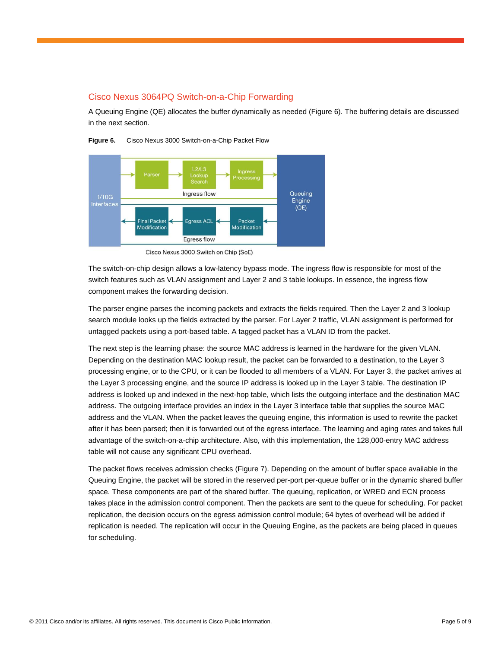#### Cisco Nexus 3064PQ Switch-on-a-Chip Forwarding

A Queuing Engine (QE) allocates the buffer dynamically as needed (Figure 6). The buffering details are discussed in the next section.



**Figure 6.** Cisco Nexus 3000 Switch-on-a-Chip Packet Flow

The switch-on-chip design allows a low-latency bypass mode. The ingress flow is responsible for most of the switch features such as VLAN assignment and Layer 2 and 3 table lookups. In essence, the ingress flow component makes the forwarding decision.

The parser engine parses the incoming packets and extracts the fields required. Then the Layer 2 and 3 lookup search module looks up the fields extracted by the parser. For Layer 2 traffic, VLAN assignment is performed for untagged packets using a port-based table. A tagged packet has a VLAN ID from the packet.

The next step is the learning phase: the source MAC address is learned in the hardware for the given VLAN. Depending on the destination MAC lookup result, the packet can be forwarded to a destination, to the Layer 3 processing engine, or to the CPU, or it can be flooded to all members of a VLAN. For Layer 3, the packet arrives at the Layer 3 processing engine, and the source IP address is looked up in the Layer 3 table. The destination IP address is looked up and indexed in the next-hop table, which lists the outgoing interface and the destination MAC address. The outgoing interface provides an index in the Layer 3 interface table that supplies the source MAC address and the VLAN. When the packet leaves the queuing engine, this information is used to rewrite the packet after it has been parsed; then it is forwarded out of the egress interface. The learning and aging rates and takes full advantage of the switch-on-a-chip architecture. Also, with this implementation, the 128,000-entry MAC address table will not cause any significant CPU overhead.

The packet flows receives admission checks (Figure 7). Depending on the amount of buffer space available in the Queuing Engine, the packet will be stored in the reserved per-port per-queue buffer or in the dynamic shared buffer space. These components are part of the shared buffer. The queuing, replication, or WRED and ECN process takes place in the admission control component. Then the packets are sent to the queue for scheduling. For packet replication, the decision occurs on the egress admission control module; 64 bytes of overhead will be added if replication is needed. The replication will occur in the Queuing Engine, as the packets are being placed in queues for scheduling.

Cisco Nexus 3000 Switch on Chip (SoE)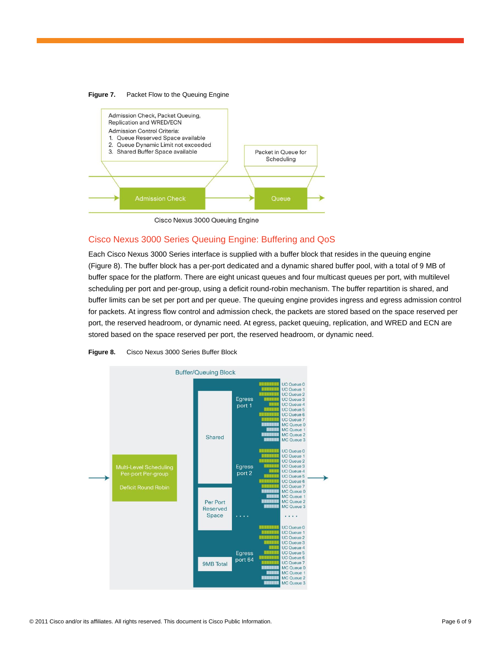

#### **Figure 7.** Packet Flow to the Queuing Engine



# Cisco Nexus 3000 Series Queuing Engine: Buffering and QoS

Each Cisco Nexus 3000 Series interface is supplied with a buffer block that resides in the queuing engine (Figure 8). The buffer block has a per-port dedicated and a dynamic shared buffer pool, with a total of 9 MB of buffer space for the platform. There are eight unicast queues and four multicast queues per port, with multilevel scheduling per port and per-group, using a deficit round-robin mechanism. The buffer repartition is shared, and buffer limits can be set per port and per queue. The queuing engine provides ingress and egress admission control for packets. At ingress flow control and admission check, the packets are stored based on the space reserved per port, the reserved headroom, or dynamic need. At egress, packet queuing, replication, and WRED and ECN are stored based on the space reserved per port, the reserved headroom, or dynamic need.



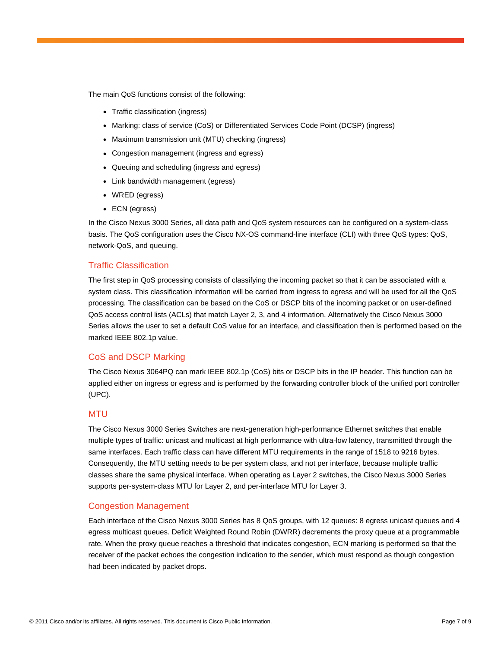The main QoS functions consist of the following:

- Traffic classification (ingress)
- Marking: class of service (CoS) or Differentiated Services Code Point (DCSP) (ingress)
- Maximum transmission unit (MTU) checking (ingress)
- Congestion management (ingress and egress)
- Queuing and scheduling (ingress and egress)
- Link bandwidth management (egress)
- WRED (egress)
- $\bullet$  ECN (egress)

In the Cisco Nexus 3000 Series, all data path and QoS system resources can be configured on a system-class basis. The QoS configuration uses the Cisco NX-OS command-line interface (CLI) with three QoS types: QoS, network-QoS, and queuing.

#### Traffic Classification

The first step in QoS processing consists of classifying the incoming packet so that it can be associated with a system class. This classification information will be carried from ingress to egress and will be used for all the QoS processing. The classification can be based on the CoS or DSCP bits of the incoming packet or on user-defined QoS access control lists (ACLs) that match Layer 2, 3, and 4 information. Alternatively the Cisco Nexus 3000 Series allows the user to set a default CoS value for an interface, and classification then is performed based on the marked IEEE 802.1p value.

#### CoS and DSCP Marking

The Cisco Nexus 3064PQ can mark IEEE 802.1p (CoS) bits or DSCP bits in the IP header. This function can be applied either on ingress or egress and is performed by the forwarding controller block of the unified port controller (UPC).

#### **MTU**

The Cisco Nexus 3000 Series Switches are next-generation high-performance Ethernet switches that enable multiple types of traffic: unicast and multicast at high performance with ultra-low latency, transmitted through the same interfaces. Each traffic class can have different MTU requirements in the range of 1518 to 9216 bytes. Consequently, the MTU setting needs to be per system class, and not per interface, because multiple traffic classes share the same physical interface. When operating as Layer 2 switches, the Cisco Nexus 3000 Series supports per-system-class MTU for Layer 2, and per-interface MTU for Layer 3.

#### Congestion Management

Each interface of the Cisco Nexus 3000 Series has 8 QoS groups, with 12 queues: 8 egress unicast queues and 4 egress multicast queues. Deficit Weighted Round Robin (DWRR) decrements the proxy queue at a programmable rate. When the proxy queue reaches a threshold that indicates congestion, ECN marking is performed so that the receiver of the packet echoes the congestion indication to the sender, which must respond as though congestion had been indicated by packet drops.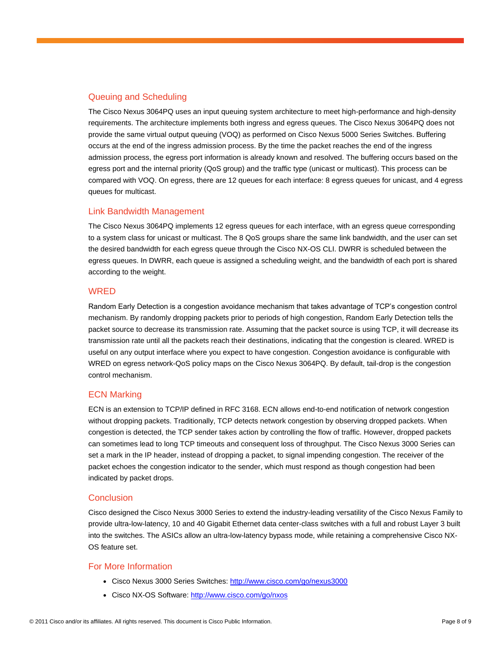# Queuing and Scheduling

The Cisco Nexus 3064PQ uses an input queuing system architecture to meet high-performance and high-density requirements. The architecture implements both ingress and egress queues. The Cisco Nexus 3064PQ does not provide the same virtual output queuing (VOQ) as performed on Cisco Nexus 5000 Series Switches. Buffering occurs at the end of the ingress admission process. By the time the packet reaches the end of the ingress admission process, the egress port information is already known and resolved. The buffering occurs based on the egress port and the internal priority (QoS group) and the traffic type (unicast or multicast). This process can be compared with VOQ. On egress, there are 12 queues for each interface: 8 egress queues for unicast, and 4 egress queues for multicast.

# Link Bandwidth Management

The Cisco Nexus 3064PQ implements 12 egress queues for each interface, with an egress queue corresponding to a system class for unicast or multicast. The 8 QoS groups share the same link bandwidth, and the user can set the desired bandwidth for each egress queue through the Cisco NX-OS CLI. DWRR is scheduled between the egress queues. In DWRR, each queue is assigned a scheduling weight, and the bandwidth of each port is shared according to the weight.

#### WRED

Random Early Detection is a congestion avoidance mechanism that takes advantage of TCP's congestion control mechanism. By randomly dropping packets prior to periods of high congestion, Random Early Detection tells the packet source to decrease its transmission rate. Assuming that the packet source is using TCP, it will decrease its transmission rate until all the packets reach their destinations, indicating that the congestion is cleared. WRED is useful on any output interface where you expect to have congestion. Congestion avoidance is configurable with WRED on egress network-QoS policy maps on the Cisco Nexus 3064PQ. By default, tail-drop is the congestion control mechanism.

# ECN Marking

ECN is an extension to TCP/IP defined in RFC 3168. ECN allows end-to-end notification of network congestion without dropping packets. Traditionally, TCP detects network congestion by observing dropped packets. When congestion is detected, the TCP sender takes action by controlling the flow of traffic. However, dropped packets can sometimes lead to long TCP timeouts and consequent loss of throughput. The Cisco Nexus 3000 Series can set a mark in the IP header, instead of dropping a packet, to signal impending congestion. The receiver of the packet echoes the congestion indicator to the sender, which must respond as though congestion had been indicated by packet drops.

#### **Conclusion**

Cisco designed the Cisco Nexus 3000 Series to extend the industry-leading versatility of the Cisco Nexus Family to provide ultra-low-latency, 10 and 40 Gigabit Ethernet data center-class switches with a full and robust Layer 3 built into the switches. The ASICs allow an ultra-low-latency bypass mode, while retaining a comprehensive Cisco NX-OS feature set.

# For More Information

- Cisco Nexus 3000 Series Switches:<http://www.cisco.com/go/nexus3000>
- Cisco NX-OS Software:<http://www.cisco.com/go/nxos>